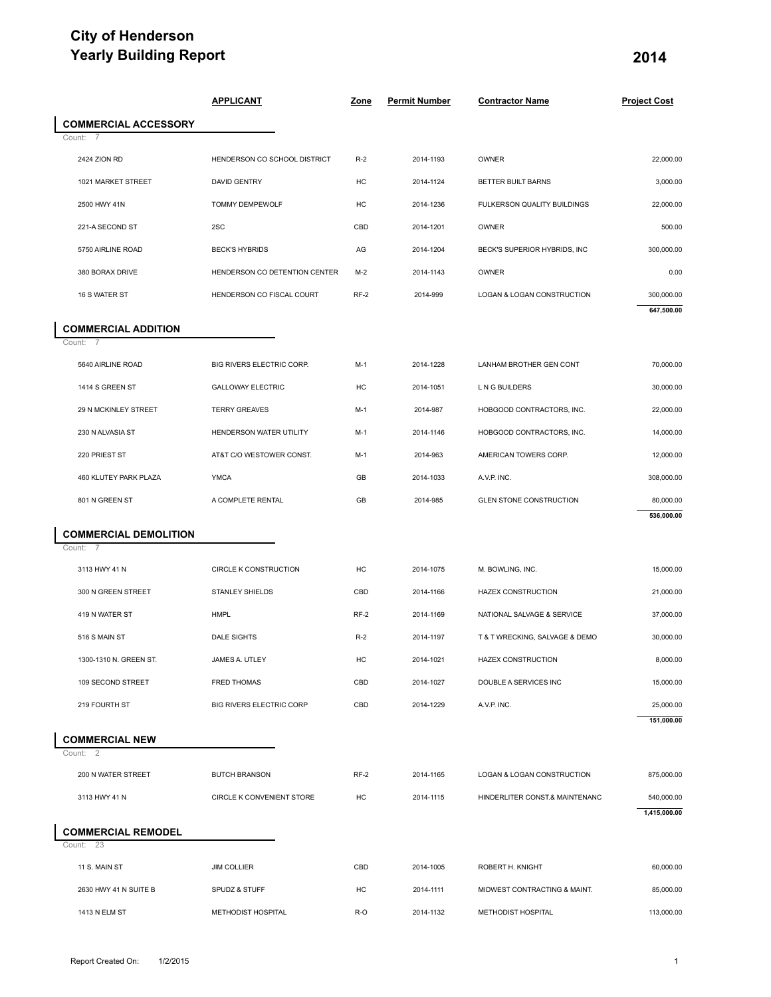### **City of Henderson Yearly Building Report 2014**

| Yearly Building Report                 |                               | 2014        |                      |                                |                          |
|----------------------------------------|-------------------------------|-------------|----------------------|--------------------------------|--------------------------|
|                                        | <b>APPLICANT</b>              | <b>Zone</b> | <b>Permit Number</b> | <b>Contractor Name</b>         | <b>Project Cost</b>      |
| <b>COMMERCIAL ACCESSORY</b><br>7       |                               |             |                      |                                |                          |
| Count:<br>2424 ZION RD                 | HENDERSON CO SCHOOL DISTRICT  | $R-2$       | 2014-1193            | OWNER                          | 22,000.00                |
| 1021 MARKET STREET                     | <b>DAVID GENTRY</b>           | HC          | 2014-1124            | BETTER BUILT BARNS             | 3,000.00                 |
| 2500 HWY 41N                           | <b>TOMMY DEMPEWOLF</b>        | HC          | 2014-1236            | FULKERSON QUALITY BUILDINGS    | 22,000.00                |
| 221-A SECOND ST                        | 2SC                           | CBD         | 2014-1201            | <b>OWNER</b>                   | 500.00                   |
| 5750 AIRLINE ROAD                      | <b>BECK'S HYBRIDS</b>         | AG          | 2014-1204            | BECK'S SUPERIOR HYBRIDS, INC   | 300,000.00               |
| 380 BORAX DRIVE                        | HENDERSON CO DETENTION CENTER | $M-2$       | 2014-1143            | OWNER                          | 0.00                     |
| 16 S WATER ST                          | HENDERSON CO FISCAL COURT     | RF-2        | 2014-999             | LOGAN & LOGAN CONSTRUCTION     | 300,000.00<br>647,500.00 |
| <b>COMMERCIAL ADDITION</b><br>Count: 7 |                               |             |                      |                                |                          |
| 5640 AIRLINE ROAD                      | BIG RIVERS ELECTRIC CORP.     | $M-1$       | 2014-1228            | LANHAM BROTHER GEN CONT        | 70,000.00                |
| 1414 S GREEN ST                        | <b>GALLOWAY ELECTRIC</b>      | HC          | 2014-1051            | L N G BUILDERS                 | 30,000.00                |
| 29 N MCKINLEY STREET                   | <b>TERRY GREAVES</b>          | $M-1$       | 2014-987             | HOBGOOD CONTRACTORS, INC.      | 22,000.00                |
| 230 N ALVASIA ST                       | HENDERSON WATER UTILITY       | $M-1$       | 2014-1146            | HOBGOOD CONTRACTORS, INC.      | 14,000.00                |
| 220 PRIEST ST                          | AT&T C/O WESTOWER CONST.      | $M-1$       | 2014-963             | AMERICAN TOWERS CORP.          | 12,000.00                |
| 460 KLUTEY PARK PLAZA                  | <b>YMCA</b>                   | GB          | 2014-1033            | A.V.P. INC.                    | 308,000.00               |
| 801 N GREEN ST                         | A COMPLETE RENTAL             | GB          | 2014-985             | <b>GLEN STONE CONSTRUCTION</b> | 80,000.00                |
| <b>COMMERCIAL DEMOLITION</b>           |                               |             |                      |                                | 536,000.00               |
| Count:<br>7                            |                               |             |                      |                                |                          |
| 3113 HWY 41 N                          | <b>CIRCLE K CONSTRUCTION</b>  | HC          | 2014-1075            | M. BOWLING, INC.               | 15,000.00                |
| 300 N GREEN STREET                     | STANLEY SHIELDS               | CBD         | 2014-1166            | <b>HAZEX CONSTRUCTION</b>      | 21,000.00                |
| 419 N WATER ST                         | <b>HMPL</b>                   | RF-2        | 2014-1169            | NATIONAL SALVAGE & SERVICE     | 37,000.00                |
| 516 S MAIN ST                          | <b>DALE SIGHTS</b>            | $R-2$       | 2014-1197            | T & T WRECKING, SALVAGE & DEMO | 30,000.00                |
| 1300-1310 N. GREEN ST.                 | JAMES A. UTLEY                | HC          | 2014-1021            | <b>HAZEX CONSTRUCTION</b>      | 8,000.00                 |
| 109 SECOND STREET                      | <b>FRED THOMAS</b>            | CBD         | 2014-1027            | <b>DOUBLE A SERVICES INC</b>   | 15,000.00                |
| 219 FOURTH ST                          | BIG RIVERS ELECTRIC CORP      | CBD         | 2014-1229            | A.V.P. INC.                    | 25,000.00<br>151,000.00  |
| <b>COMMERCIAL NEW</b>                  |                               |             |                      |                                |                          |
| $\overline{2}$<br>Count:               |                               |             |                      |                                |                          |
| 200 N WATER STREET                     | <b>BUTCH BRANSON</b>          | $RF-2$      | 2014-1165            | LOGAN & LOGAN CONSTRUCTION     | 875,000.00               |
| 3113 HWY 41 N                          | CIRCLE K CONVENIENT STORE     | НC          | 2014-1115            | HINDERLITER CONST.& MAINTENANC | 540,000.00               |
| <b>COMMERCIAL REMODEL</b>              |                               |             |                      |                                | 1,415,000.00             |
| 23<br>Count:                           |                               |             |                      |                                |                          |
| 11 S. MAIN ST                          | <b>JIM COLLIER</b>            | CBD         | 2014-1005            | ROBERT H. KNIGHT               | 60,000.00                |
| 2630 HWY 41 N SUITE B                  | SPUDZ & STUFF                 | HС          | 2014-1111            | MIDWEST CONTRACTING & MAINT.   | 85,000.00                |
| 1413 N ELM ST                          | METHODIST HOSPITAL            | R-O         | 2014-1132            | METHODIST HOSPITAL             | 113,000.00               |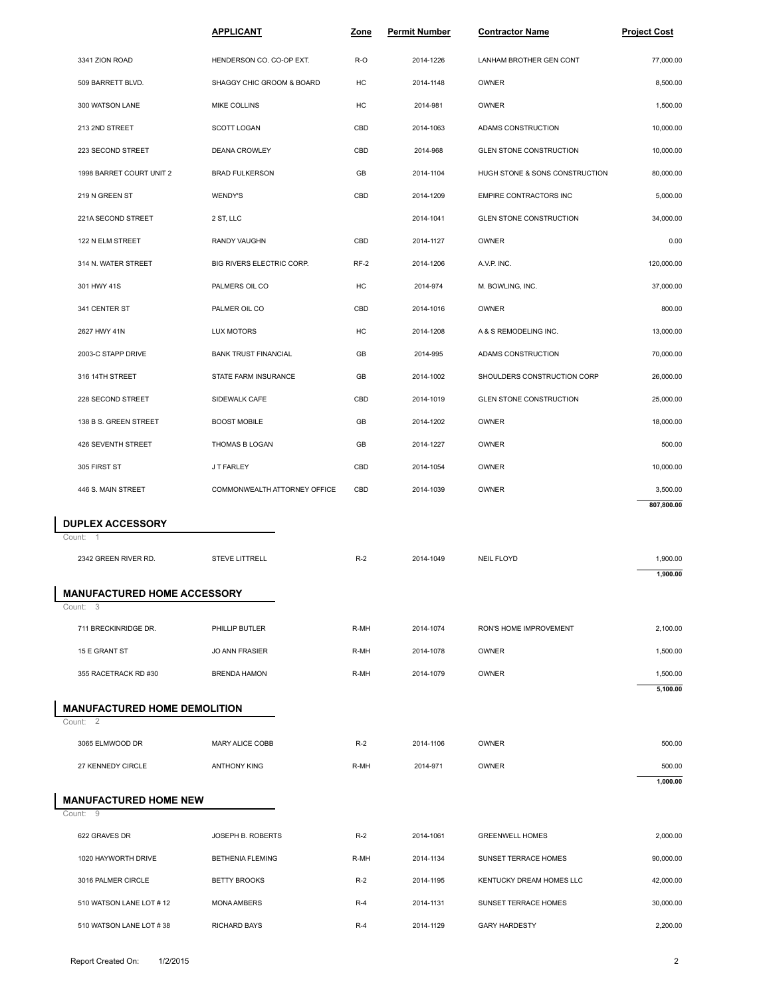|                                                 | <b>APPLICANT</b>             | Zone   | <b>Permit Number</b> | <b>Contractor Name</b>         | <b>Project Cost</b> |
|-------------------------------------------------|------------------------------|--------|----------------------|--------------------------------|---------------------|
| 3341 ZION ROAD                                  | HENDERSON CO. CO-OP EXT.     | R-O    | 2014-1226            | LANHAM BROTHER GEN CONT        | 77,000.00           |
| 509 BARRETT BLVD.                               | SHAGGY CHIC GROOM & BOARD    | HC     | 2014-1148            | <b>OWNER</b>                   | 8,500.00            |
| 300 WATSON LANE                                 | <b>MIKE COLLINS</b>          | HC     | 2014-981             | <b>OWNER</b>                   | 1,500.00            |
| 213 2ND STREET                                  | <b>SCOTT LOGAN</b>           | CBD    | 2014-1063            | ADAMS CONSTRUCTION             | 10,000.00           |
| 223 SECOND STREET                               | <b>DEANA CROWLEY</b>         | CBD    | 2014-968             | <b>GLEN STONE CONSTRUCTION</b> | 10,000.00           |
| 1998 BARRET COURT UNIT 2                        | <b>BRAD FULKERSON</b>        | GB     | 2014-1104            | HUGH STONE & SONS CONSTRUCTION | 80,000.00           |
| 219 N GREEN ST                                  | WENDY'S                      | CBD    | 2014-1209            | <b>EMPIRE CONTRACTORS INC</b>  | 5,000.00            |
| 221A SECOND STREET                              | 2 ST, LLC                    |        | 2014-1041            | <b>GLEN STONE CONSTRUCTION</b> | 34,000.00           |
| 122 N ELM STREET                                | RANDY VAUGHN                 | CBD    | 2014-1127            | <b>OWNER</b>                   | 0.00                |
| 314 N. WATER STREET                             | BIG RIVERS ELECTRIC CORP.    | $RF-2$ | 2014-1206            | A.V.P. INC.                    | 120,000.00          |
| 301 HWY 41S                                     | PALMERS OIL CO               | HC     | 2014-974             | M. BOWLING, INC.               | 37,000.00           |
| 341 CENTER ST                                   | PALMER OIL CO                | CBD    | 2014-1016            | <b>OWNER</b>                   | 800.00              |
| 2627 HWY 41N                                    | <b>LUX MOTORS</b>            | HC     | 2014-1208            | A & S REMODELING INC.          | 13,000.00           |
| 2003-C STAPP DRIVE                              | <b>BANK TRUST FINANCIAL</b>  | GB     | 2014-995             | ADAMS CONSTRUCTION             | 70,000.00           |
| 316 14TH STREET                                 | STATE FARM INSURANCE         | GB     | 2014-1002            | SHOULDERS CONSTRUCTION CORP    | 26,000.00           |
| 228 SECOND STREET                               | SIDEWALK CAFE                | CBD    | 2014-1019            | GLEN STONE CONSTRUCTION        | 25,000.00           |
| 138 B S. GREEN STREET                           | <b>BOOST MOBILE</b>          | GB     | 2014-1202            | <b>OWNER</b>                   | 18,000.00           |
| 426 SEVENTH STREET                              | THOMAS B LOGAN               | GB     | 2014-1227            | OWNER                          | 500.00              |
| 305 FIRST ST                                    | J T FARLEY                   | CBD    | 2014-1054            | <b>OWNER</b>                   | 10,000.00           |
| 446 S. MAIN STREET                              | COMMONWEALTH ATTORNEY OFFICE | CBD    | 2014-1039            | <b>OWNER</b>                   | 3,500.00            |
|                                                 |                              |        |                      |                                | 807,800.00          |
| <b>DUPLEX ACCESSORY</b><br>Count: 1             |                              |        |                      |                                |                     |
| 2342 GREEN RIVER RD.                            | <b>STEVE LITTRELL</b>        | $R-2$  | 2014-1049            | <b>NEIL FLOYD</b>              | 1,900.00            |
|                                                 |                              |        |                      |                                | 1,900.00            |
| <b>MANUFACTURED HOME ACCESSORY</b><br>Count: 3  |                              |        |                      |                                |                     |
| 711 BRECKINRIDGE DR.                            | PHILLIP BUTLER               | R-MH   | 2014-1074            | RON'S HOME IMPROVEMENT         | 2,100.00            |
| 15 E GRANT ST                                   | <b>JO ANN FRASIER</b>        | R-MH   | 2014-1078            | <b>OWNER</b>                   | 1,500.00            |
| 355 RACETRACK RD #30                            | <b>BRENDA HAMON</b>          | R-MH   | 2014-1079            | <b>OWNER</b>                   | 1,500.00            |
|                                                 |                              |        |                      |                                | 5,100.00            |
| <b>MANUFACTURED HOME DEMOLITION</b><br>Count: 2 |                              |        |                      |                                |                     |
| 3065 ELMWOOD DR                                 | MARY ALICE COBB              | $R-2$  | 2014-1106            | <b>OWNER</b>                   | 500.00              |
| 27 KENNEDY CIRCLE                               | <b>ANTHONY KING</b>          | R-MH   | 2014-971             | <b>OWNER</b>                   | 500.00              |
|                                                 |                              |        |                      |                                | 1,000.00            |
| <b>MANUFACTURED HOME NEW</b><br>Count: 9        |                              |        |                      |                                |                     |
| 622 GRAVES DR                                   | JOSEPH B. ROBERTS            | $R-2$  | 2014-1061            | <b>GREENWELL HOMES</b>         | 2,000.00            |
| 1020 HAYWORTH DRIVE                             | <b>BETHENIA FLEMING</b>      | R-MH   | 2014-1134            | SUNSET TERRACE HOMES           | 90,000.00           |
| 3016 PALMER CIRCLE                              | <b>BETTY BROOKS</b>          | $R-2$  | 2014-1195            | KENTUCKY DREAM HOMES LLC       | 42,000.00           |
| 510 WATSON LANE LOT #12                         | <b>MONA AMBERS</b>           | $R-4$  | 2014-1131            | SUNSET TERRACE HOMES           | 30,000.00           |
| 510 WATSON LANE LOT #38                         | <b>RICHARD BAYS</b>          | $R-4$  | 2014-1129            | <b>GARY HARDESTY</b>           | 2,200.00            |
|                                                 |                              |        |                      |                                |                     |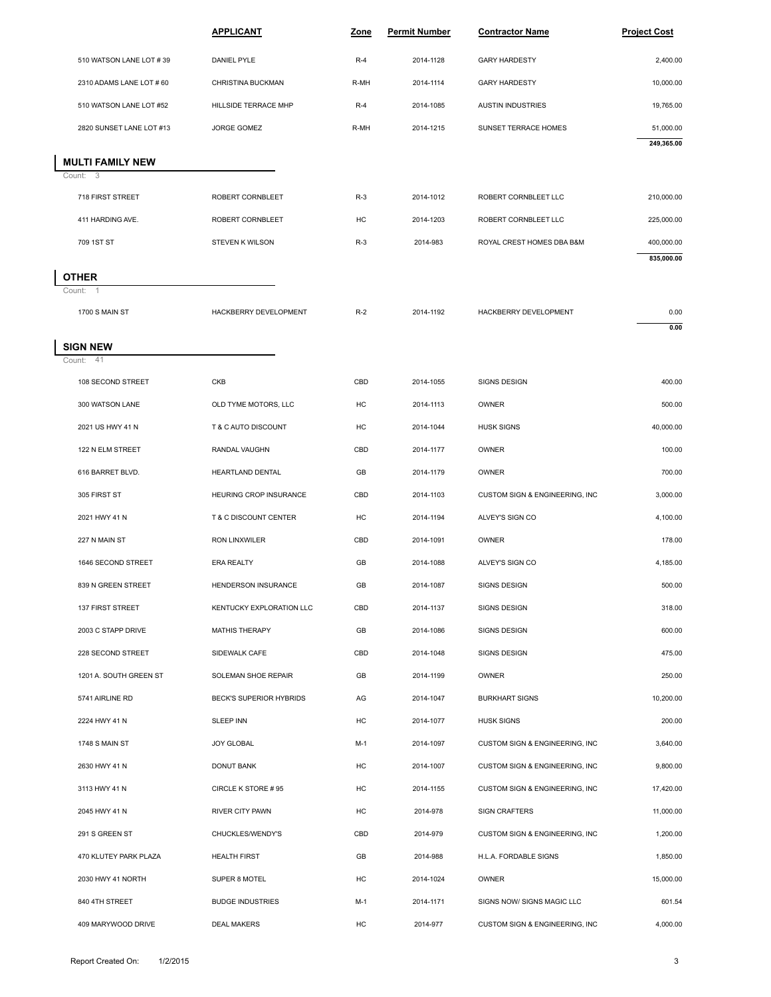|                                          | <b>APPLICANT</b>         | Zone  | <b>Permit Number</b> | <b>Contractor Name</b>         | <b>Project Cost</b> |
|------------------------------------------|--------------------------|-------|----------------------|--------------------------------|---------------------|
| 510 WATSON LANE LOT #39                  | DANIEL PYLE              | $R-4$ | 2014-1128            | <b>GARY HARDESTY</b>           | 2,400.00            |
| 2310 ADAMS LANE LOT #60                  | CHRISTINA BUCKMAN        | R-MH  | 2014-1114            | <b>GARY HARDESTY</b>           | 10,000.00           |
| 510 WATSON LANE LOT #52                  | HILLSIDE TERRACE MHP     | $R-4$ | 2014-1085            | <b>AUSTIN INDUSTRIES</b>       | 19,765.00           |
| 2820 SUNSET LANE LOT #13                 | JORGE GOMEZ              | R-MH  | 2014-1215            | SUNSET TERRACE HOMES           | 51,000.00           |
|                                          |                          |       |                      |                                | 249,365.00          |
| <b>MULTI FAMILY NEW</b><br>Count: 3      |                          |       |                      |                                |                     |
| 718 FIRST STREET                         | ROBERT CORNBLEET         | $R-3$ | 2014-1012            | ROBERT CORNBLEET LLC           | 210,000.00          |
| 411 HARDING AVE.                         | ROBERT CORNBLEET         | HC    | 2014-1203            | ROBERT CORNBLEET LLC           | 225,000.00          |
| 709 1ST ST                               | STEVEN K WILSON          | $R-3$ | 2014-983             | ROYAL CREST HOMES DBA B&M      | 400,000.00          |
|                                          |                          |       |                      |                                | 835,000.00          |
| <b>OTHER</b><br>Count:<br>$\overline{1}$ |                          |       |                      |                                |                     |
| 1700 S MAIN ST                           | HACKBERRY DEVELOPMENT    | $R-2$ | 2014-1192            | HACKBERRY DEVELOPMENT          | 0.00                |
|                                          |                          |       |                      |                                | 0.00                |
| <b>SIGN NEW</b><br>Count:<br>-41         |                          |       |                      |                                |                     |
| 108 SECOND STREET                        | CKB                      | CBD   | 2014-1055            | <b>SIGNS DESIGN</b>            | 400.00              |
| 300 WATSON LANE                          | OLD TYME MOTORS, LLC     | HC    | 2014-1113            | OWNER                          | 500.00              |
| 2021 US HWY 41 N                         | T & C AUTO DISCOUNT      | HC    | 2014-1044            | <b>HUSK SIGNS</b>              | 40,000.00           |
| 122 N ELM STREET                         | RANDAL VAUGHN            | CBD   | 2014-1177            | OWNER                          | 100.00              |
| 616 BARRET BLVD.                         | HEARTLAND DENTAL         | GB    | 2014-1179            | OWNER                          | 700.00              |
| 305 FIRST ST                             | HEURING CROP INSURANCE   | CBD   | 2014-1103            | CUSTOM SIGN & ENGINEERING, INC | 3,000.00            |
| 2021 HWY 41 N                            | T & C DISCOUNT CENTER    | HC    | 2014-1194            | ALVEY'S SIGN CO                | 4,100.00            |
| 227 N MAIN ST                            | RON LINXWILER            | CBD   | 2014-1091            | OWNER                          | 178.00              |
| 1646 SECOND STREET                       | <b>ERA REALTY</b>        | GB    | 2014-1088            | ALVEY'S SIGN CO                | 4,185.00            |
| 839 N GREEN STREET                       | HENDERSON INSURANCE      | GB    | 2014-1087            | SIGNS DESIGN                   | 500.00              |
| 137 FIRST STREET                         | KENTUCKY EXPLORATION LLC | CBD   | 2014-1137            | SIGNS DESIGN                   | 318.00              |
| 2003 C STAPP DRIVE                       | MATHIS THERAPY           | GB    | 2014-1086            | <b>SIGNS DESIGN</b>            | 600.00              |
| 228 SECOND STREET                        | SIDEWALK CAFE            | CBD   | 2014-1048            | SIGNS DESIGN                   | 475.00              |
| 1201 A. SOUTH GREEN ST                   | SOLEMAN SHOE REPAIR      | GB    | 2014-1199            | OWNER                          | 250.00              |
| 5741 AIRLINE RD                          | BECK'S SUPERIOR HYBRIDS  | AG    | 2014-1047            | <b>BURKHART SIGNS</b>          | 10,200.00           |
| 2224 HWY 41 N                            | SLEEP INN                | HC    | 2014-1077            | <b>HUSK SIGNS</b>              | 200.00              |
| 1748 S MAIN ST                           | JOY GLOBAL               | M-1   | 2014-1097            | CUSTOM SIGN & ENGINEERING, INC | 3,640.00            |
| 2630 HWY 41 N                            | DONUT BANK               | HC    | 2014-1007            | CUSTOM SIGN & ENGINEERING, INC | 9,800.00            |
| 3113 HWY 41 N                            | CIRCLE K STORE #95       | HС    | 2014-1155            | CUSTOM SIGN & ENGINEERING, INC | 17,420.00           |
| 2045 HWY 41 N                            | RIVER CITY PAWN          | HC    | 2014-978             | SIGN CRAFTERS                  | 11,000.00           |
| 291 S GREEN ST                           | CHUCKLES/WENDY'S         | CBD   | 2014-979             | CUSTOM SIGN & ENGINEERING, INC | 1,200.00            |
| 470 KLUTEY PARK PLAZA                    | <b>HEALTH FIRST</b>      | GB    | 2014-988             | H.L.A. FORDABLE SIGNS          | 1,850.00            |
| 2030 HWY 41 NORTH                        | SUPER 8 MOTEL            | HC    | 2014-1024            | OWNER                          | 15,000.00           |
| 840 4TH STREET                           | <b>BUDGE INDUSTRIES</b>  | M-1   | 2014-1171            | SIGNS NOW/ SIGNS MAGIC LLC     | 601.54              |
| 409 MARYWOOD DRIVE                       | <b>DEAL MAKERS</b>       | НC    | 2014-977             | CUSTOM SIGN & ENGINEERING, INC | 4,000.00            |
|                                          |                          |       |                      |                                |                     |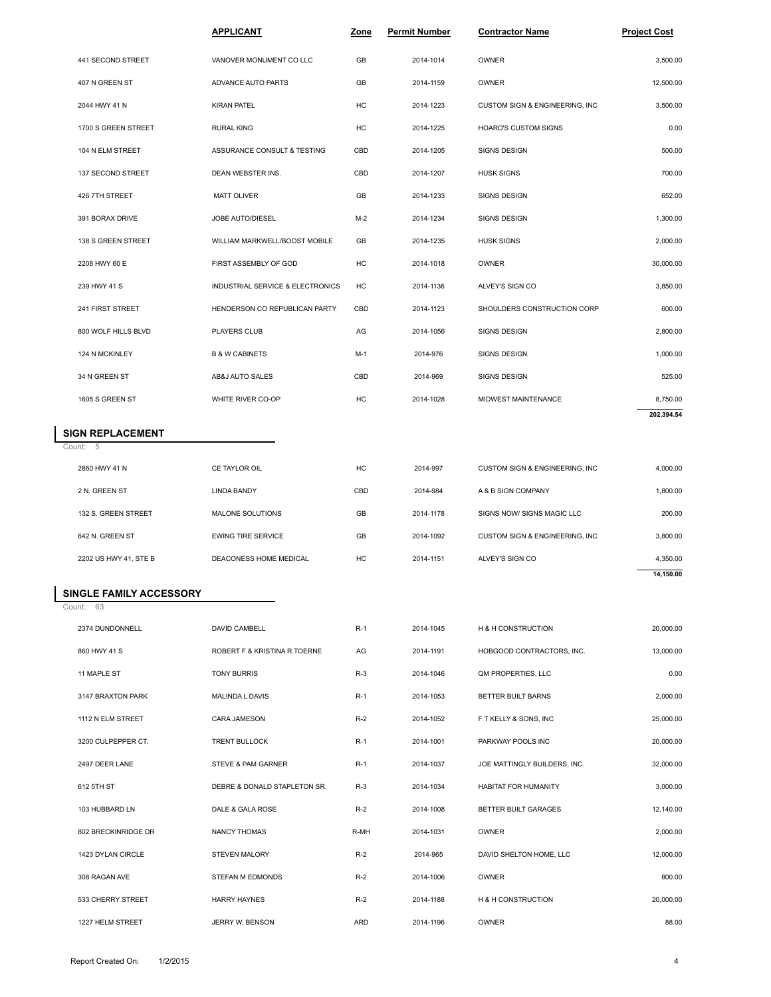|                                         | <b>APPLICANT</b>                 | Zone  | <b>Permit Number</b> | <b>Contractor Name</b>         | <b>Project Cost</b> |
|-----------------------------------------|----------------------------------|-------|----------------------|--------------------------------|---------------------|
| 441 SECOND STREET                       | VANOVER MONUMENT CO LLC          | GB    | 2014-1014            | OWNER                          | 3,500.00            |
| 407 N GREEN ST                          | ADVANCE AUTO PARTS               | GB    | 2014-1159            | <b>OWNER</b>                   | 12,500.00           |
| 2044 HWY 41 N                           | <b>KIRAN PATEL</b>               | HC    | 2014-1223            | CUSTOM SIGN & ENGINEERING, INC | 3,500.00            |
| 1700 S GREEN STREET                     | <b>RURAL KING</b>                | HC    | 2014-1225            | <b>HOARD'S CUSTOM SIGNS</b>    | 0.00                |
| 104 N ELM STREET                        | ASSURANCE CONSULT & TESTING      | CBD   | 2014-1205            | <b>SIGNS DESIGN</b>            | 500.00              |
| 137 SECOND STREET                       | DEAN WEBSTER INS.                | CBD   | 2014-1207            | <b>HUSK SIGNS</b>              | 700.00              |
| 426 7TH STREET                          | <b>MATT OLIVER</b>               | GB    | 2014-1233            | <b>SIGNS DESIGN</b>            | 652.00              |
| 391 BORAX DRIVE                         | JOBE AUTO/DIESEL                 | $M-2$ | 2014-1234            | <b>SIGNS DESIGN</b>            | 1,300.00            |
| 138 S GREEN STREET                      | WILLIAM MARKWELL/BOOST MOBILE    | GB    | 2014-1235            | <b>HUSK SIGNS</b>              | 2,000.00            |
| 2208 HWY 60 E                           | FIRST ASSEMBLY OF GOD            | HC    | 2014-1018            | OWNER                          | 30,000.00           |
| 239 HWY 41 S                            | INDUSTRIAL SERVICE & ELECTRONICS | HC    | 2014-1136            | ALVEY'S SIGN CO                | 3,850.00            |
| 241 FIRST STREET                        | HENDERSON CO REPUBLICAN PARTY    | CBD   | 2014-1123            | SHOULDERS CONSTRUCTION CORP    | 600.00              |
| 800 WOLF HILLS BLVD                     | PLAYERS CLUB                     | AG    | 2014-1056            | SIGNS DESIGN                   | 2,800.00            |
| 124 N MCKINLEY                          | <b>B &amp; W CABINETS</b>        | $M-1$ | 2014-976             | SIGNS DESIGN                   | 1,000.00            |
| 34 N GREEN ST                           | AB&J AUTO SALES                  | CBD   | 2014-969             | SIGNS DESIGN                   | 525.00              |
| 1605 S GREEN ST                         | WHITE RIVER CO-OP                | HC    | 2014-1028            | MIDWEST MAINTENANCE            | 8,750.00            |
|                                         |                                  |       |                      |                                | 202,394.54          |
| <b>SIGN REPLACEMENT</b><br>Count: 5     |                                  |       |                      |                                |                     |
| 2860 HWY 41 N                           | CE TAYLOR OIL                    | HC    | 2014-997             | CUSTOM SIGN & ENGINEERING, INC | 4,000.00            |
| 2 N. GREEN ST                           | <b>LINDA BANDY</b>               | CBD   | 2014-984             | A & B SIGN COMPANY             | 1,800.00            |
| 132 S. GREEN STREET                     | MALONE SOLUTIONS                 | GB    | 2014-1178            | SIGNS NOW/ SIGNS MAGIC LLC     | 200.00              |
| 642 N. GREEN ST                         | <b>EWING TIRE SERVICE</b>        | GB    | 2014-1092            | CUSTOM SIGN & ENGINEERING, INC | 3,800.00            |
| 2202 US HWY 41, STE B                   | DEACONESS HOME MEDICAL           | HC    | 2014-1151            | ALVEY'S SIGN CO                | 4,350.00            |
|                                         |                                  |       |                      |                                | 14,150.00           |
| SINGLE FAMILY ACCESSORY<br>63<br>Count: |                                  |       |                      |                                |                     |
| 2374 DUNDONNELL                         | DAVID CAMBELL                    | $R-1$ | 2014-1045            | H & H CONSTRUCTION             | 20,000.00           |
| 860 HWY 41 S                            | ROBERT F & KRISTINA R TOERNE     | AG    | 2014-1191            | HOBGOOD CONTRACTORS, INC.      | 13,000.00           |

| 2202 US HWY 41, STE B                     | DEACONESS HOME MEDICAL       | HC         | 2014-1151 | ALVEY'S SIGN CO               | 4.350.00<br>14,150.00 |
|-------------------------------------------|------------------------------|------------|-----------|-------------------------------|-----------------------|
| <b>INGLE FAMILY ACCESSORY</b><br>ount: 63 |                              |            |           |                               |                       |
|                                           |                              |            |           |                               |                       |
| 2374 DUNDONNELL                           | <b>DAVID CAMBELL</b>         | $R-1$      | 2014-1045 | <b>H &amp; H CONSTRUCTION</b> | 20,000.00             |
| 860 HWY 41 S                              | ROBERT F & KRISTINA R TOERNE | AG         | 2014-1191 | HOBGOOD CONTRACTORS, INC.     | 13,000.00             |
| 11 MAPLE ST                               | <b>TONY BURRIS</b>           | $R-3$      | 2014-1046 | QM PROPERTIES, LLC            | 0.00                  |
| 3147 BRAXTON PARK                         | <b>MALINDA L DAVIS</b>       | $R-1$      | 2014-1053 | BETTER BUILT BARNS            | 2,000.00              |
| 1112 N ELM STREET                         | CARA JAMESON                 | $R-2$      | 2014-1052 | F T KELLY & SONS, INC         | 25,000.00             |
| 3200 CULPEPPER CT.                        | <b>TRENT BULLOCK</b>         | $R-1$      | 2014-1001 | PARKWAY POOLS INC             | 20,000.00             |
| 2497 DEER LANE                            | STEVE & PAM GARNER           | $R-1$      | 2014-1037 | JOE MATTINGLY BUILDERS, INC.  | 32,000.00             |
| 612 5TH ST                                | DEBRE & DONALD STAPLETON SR. | $R-3$      | 2014-1034 | <b>HABITAT FOR HUMANITY</b>   | 3,000.00              |
| 103 HUBBARD LN                            | DALE & GALA ROSE             | $R-2$      | 2014-1008 | BETTER BUILT GARAGES          | 12.140.00             |
| 802 BRECKINRIDGE DR                       | NANCY THOMAS                 | R-MH       | 2014-1031 | <b>OWNER</b>                  | 2,000.00              |
| 1423 DYLAN CIRCLE                         | STEVEN MALORY                | $R-2$      | 2014-965  | DAVID SHELTON HOME, LLC       | 12,000.00             |
| 308 RAGAN AVE                             | STEFAN M EDMONDS             | $R-2$      | 2014-1006 | <b>OWNER</b>                  | 800.00                |
| 533 CHERRY STREET                         | <b>HARRY HAYNES</b>          | $R-2$      | 2014-1188 | <b>H &amp; H CONSTRUCTION</b> | 20,000.00             |
| 1227 HELM STREET                          | JERRY W. BENSON              | <b>ARD</b> | 2014-1196 | OWNER                         | 88.00                 |
|                                           |                              |            |           |                               |                       |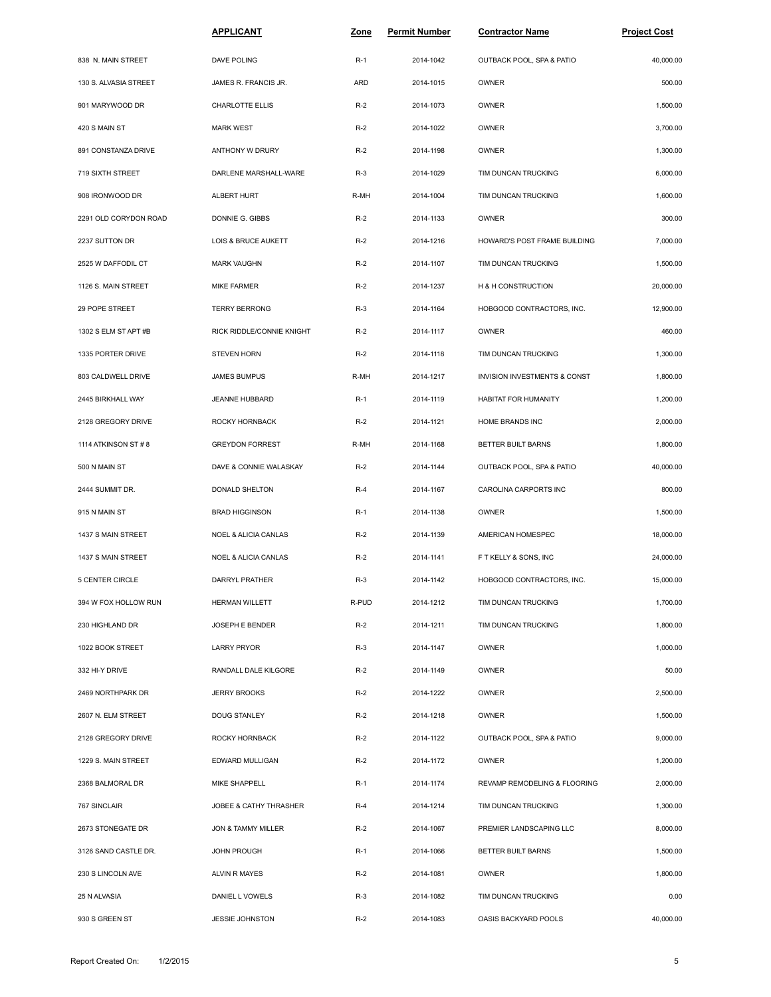|                       | <b>APPLICANT</b>                | Zone       | <b>Permit Number</b> | <b>Contractor Name</b>       | <b>Project Cost</b> |
|-----------------------|---------------------------------|------------|----------------------|------------------------------|---------------------|
| 838 N. MAIN STREET    | DAVE POLING                     | $R-1$      | 2014-1042            | OUTBACK POOL, SPA & PATIO    | 40,000.00           |
| 130 S. ALVASIA STREET | JAMES R. FRANCIS JR.            | <b>ARD</b> | 2014-1015            | OWNER                        | 500.00              |
| 901 MARYWOOD DR       | CHARLOTTE ELLIS                 | $R-2$      | 2014-1073            | OWNER                        | 1,500.00            |
| 420 S MAIN ST         | <b>MARK WEST</b>                | $R-2$      | 2014-1022            | OWNER                        | 3,700.00            |
| 891 CONSTANZA DRIVE   | ANTHONY W DRURY                 | $R-2$      | 2014-1198            | OWNER                        | 1,300.00            |
| 719 SIXTH STREET      | DARLENE MARSHALL-WARE           | $R-3$      | 2014-1029            | TIM DUNCAN TRUCKING          | 6,000.00            |
| 908 IRONWOOD DR       | ALBERT HURT                     | R-MH       | 2014-1004            | TIM DUNCAN TRUCKING          | 1,600.00            |
| 2291 OLD CORYDON ROAD | DONNIE G. GIBBS                 | $R-2$      | 2014-1133            | <b>OWNER</b>                 | 300.00              |
| 2237 SUTTON DR        | LOIS & BRUCE AUKETT             | $R-2$      | 2014-1216            | HOWARD'S POST FRAME BUILDING | 7,000.00            |
| 2525 W DAFFODIL CT    | <b>MARK VAUGHN</b>              | $R-2$      | 2014-1107            | TIM DUNCAN TRUCKING          | 1,500.00            |
| 1126 S. MAIN STREET   | MIKE FARMER                     | $R-2$      | 2014-1237            | H & H CONSTRUCTION           | 20,000.00           |
| 29 POPE STREET        | <b>TERRY BERRONG</b>            | $R-3$      | 2014-1164            | HOBGOOD CONTRACTORS, INC.    | 12,900.00           |
| 1302 S ELM ST APT #B  | RICK RIDDLE/CONNIE KNIGHT       | $R-2$      | 2014-1117            | OWNER                        | 460.00              |
| 1335 PORTER DRIVE     | <b>STEVEN HORN</b>              | $R-2$      | 2014-1118            | TIM DUNCAN TRUCKING          | 1,300.00            |
| 803 CALDWELL DRIVE    | JAMES BUMPUS                    | R-MH       | 2014-1217            | INVISION INVESTMENTS & CONST | 1,800.00            |
| 2445 BIRKHALL WAY     | JEANNE HUBBARD                  | $R-1$      | 2014-1119            | HABITAT FOR HUMANITY         | 1,200.00            |
| 2128 GREGORY DRIVE    | ROCKY HORNBACK                  | $R-2$      | 2014-1121            | HOME BRANDS INC              | 2,000.00            |
| 1114 ATKINSON ST # 8  | <b>GREYDON FORREST</b>          | R-MH       | 2014-1168            | BETTER BUILT BARNS           | 1,800.00            |
| 500 N MAIN ST         | DAVE & CONNIE WALASKAY          | $R-2$      | 2014-1144            | OUTBACK POOL, SPA & PATIO    | 40,000.00           |
| 2444 SUMMIT DR.       | DONALD SHELTON                  | $R-4$      | 2014-1167            | CAROLINA CARPORTS INC        | 800.00              |
| 915 N MAIN ST         | <b>BRAD HIGGINSON</b>           | $R-1$      | 2014-1138            | OWNER                        | 1,500.00            |
| 1437 S MAIN STREET    | <b>NOEL &amp; ALICIA CANLAS</b> | $R-2$      | 2014-1139            | AMERICAN HOMESPEC            | 18,000.00           |
| 1437 S MAIN STREET    | NOEL & ALICIA CANLAS            | $R-2$      | 2014-1141            | F T KELLY & SONS, INC        | 24,000.00           |
| 5 CENTER CIRCLE       | DARRYL PRATHER                  | $R-3$      | 2014-1142            | HOBGOOD CONTRACTORS, INC.    | 15,000.00           |
| 394 W FOX HOLLOW RUN  | HERMAN WILLETT                  | R-PUD      | 2014-1212            | TIM DUNCAN TRUCKING          | 1,700.00            |
| 230 HIGHLAND DR       | JOSEPH E BENDER                 | $R-2$      | 2014-1211            | TIM DUNCAN TRUCKING          | 1,800.00            |
| 1022 BOOK STREET      | <b>LARRY PRYOR</b>              | $R-3$      | 2014-1147            | OWNER                        | 1,000.00            |
| 332 HI-Y DRIVE        | RANDALL DALE KILGORE            | $R-2$      | 2014-1149            | OWNER                        | 50.00               |
| 2469 NORTHPARK DR     | <b>JERRY BROOKS</b>             | $R-2$      | 2014-1222            | OWNER                        | 2,500.00            |
| 2607 N. ELM STREET    | DOUG STANLEY                    | $R-2$      | 2014-1218            | OWNER                        | 1,500.00            |
| 2128 GREGORY DRIVE    | ROCKY HORNBACK                  | $R-2$      | 2014-1122            | OUTBACK POOL, SPA & PATIO    | 9,000.00            |
| 1229 S. MAIN STREET   | EDWARD MULLIGAN                 | $R-2$      | 2014-1172            | OWNER                        | 1,200.00            |
| 2368 BALMORAL DR      | MIKE SHAPPELL                   | $R-1$      | 2014-1174            | REVAMP REMODELING & FLOORING | 2,000.00            |
| 767 SINCLAIR          | JOBEE & CATHY THRASHER          | $R-4$      | 2014-1214            | TIM DUNCAN TRUCKING          | 1,300.00            |
| 2673 STONEGATE DR     | JON & TAMMY MILLER              | $R-2$      | 2014-1067            | PREMIER LANDSCAPING LLC      | 8,000.00            |
| 3126 SAND CASTLE DR.  | <b>JOHN PROUGH</b>              | $R-1$      | 2014-1066            | BETTER BUILT BARNS           | 1,500.00            |
| 230 S LINCOLN AVE     | ALVIN R MAYES                   | $R-2$      | 2014-1081            | <b>OWNER</b>                 | 1,800.00            |
| 25 N ALVASIA          | DANIEL L VOWELS                 | $R-3$      | 2014-1082            | TIM DUNCAN TRUCKING          | 0.00                |
| 930 S GREEN ST        | JESSIE JOHNSTON                 | $R-2$      | 2014-1083            | OASIS BACKYARD POOLS         | 40,000.00           |
|                       |                                 |            |                      |                              |                     |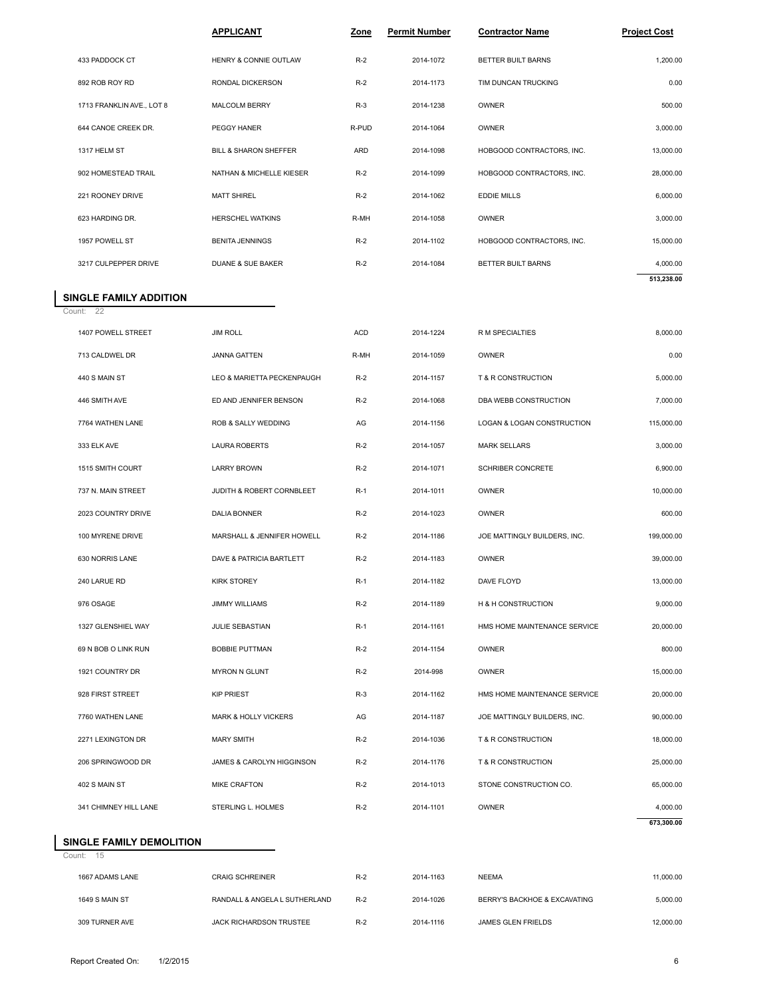|                             | <b>APPLICANT</b>             | Zone  | <b>Permit Number</b> | <b>Contractor Name</b>    | <b>Project Cost</b> |  |
|-----------------------------|------------------------------|-------|----------------------|---------------------------|---------------------|--|
| 433 PADDOCK CT              | HENRY & CONNIE OUTLAW        | $R-2$ | 2014-1072            | BETTER BUILT BARNS        | 1,200.00            |  |
| 892 ROB ROY RD              | RONDAL DICKERSON             | $R-2$ | 2014-1173            | TIM DUNCAN TRUCKING       | 0.00                |  |
| 1713 FRANKLIN AVE., LOT 8   | MALCOLM BERRY                | $R-3$ | 2014-1238            | <b>OWNER</b>              | 500.00              |  |
| 644 CANOE CREEK DR.         | PEGGY HANER                  | R-PUD | 2014-1064            | OWNER                     | 3,000.00            |  |
| 1317 HELM ST                | BILL & SHARON SHEFFER        | ARD   | 2014-1098            | HOBGOOD CONTRACTORS, INC. | 13,000.00           |  |
| 902 HOMESTEAD TRAIL         | NATHAN & MICHELLE KIESER     | $R-2$ | 2014-1099            | HOBGOOD CONTRACTORS, INC. | 28,000.00           |  |
| 221 ROONEY DRIVE            | <b>MATT SHIREL</b>           | $R-2$ | 2014-1062            | <b>EDDIE MILLS</b>        | 6,000.00            |  |
| 623 HARDING DR.             | <b>HERSCHEL WATKINS</b>      | R-MH  | 2014-1058            | <b>OWNER</b>              | 3,000.00            |  |
| 1957 POWELL ST              | <b>BENITA JENNINGS</b>       | $R-2$ | 2014-1102            | HOBGOOD CONTRACTORS, INC. | 15,000.00           |  |
| 3217 CULPEPPER DRIVE        | <b>DUANE &amp; SUE BAKER</b> | $R-2$ | 2014-1084            | BETTER BUILT BARNS        | 4,000.00            |  |
|                             |                              |       |                      |                           | 513,238.00          |  |
| <b>NGLE FAMILY ADDITION</b> |                              |       |                      |                           |                     |  |
| unt: 22                     |                              |       |                      |                           |                     |  |
| 1407 POWELL STREET          | <b>JIM ROLL</b>              | ACD   | 2014-1224            | R M SPECIALTIES           | 8,000.00            |  |
| 713 CALDWEL DR              | <b>JANNA GATTEN</b>          | R-MH  | 2014-1059            | <b>OWNER</b>              | 0.00                |  |

# **SINGLE FAMILY ADDITION**<br>Count: 22

| 3217 CULPEPPER DRIVE                     | <b>DUANE &amp; SUE BAKER</b>    | $R-2$      | 2014-1084 | BETTER BUILT BARNS           | 4,000.00   |
|------------------------------------------|---------------------------------|------------|-----------|------------------------------|------------|
|                                          |                                 |            |           |                              | 513,238.00 |
| SINGLE FAMILY ADDITION<br>22<br>Count:   |                                 |            |           |                              |            |
| 1407 POWELL STREET                       | <b>JIM ROLL</b>                 | <b>ACD</b> | 2014-1224 | R M SPECIALTIES              | 8,000.00   |
| 713 CALDWEL DR                           | <b>JANNA GATTEN</b>             | R-MH       | 2014-1059 | <b>OWNER</b>                 | 0.00       |
|                                          |                                 |            |           |                              |            |
| 440 S MAIN ST                            | LEO & MARIETTA PECKENPAUGH      | $R-2$      | 2014-1157 | T & R CONSTRUCTION           | 5,000.00   |
| 446 SMITH AVE                            | ED AND JENNIFER BENSON          | $R-2$      | 2014-1068 | DBA WEBB CONSTRUCTION        | 7,000.00   |
| 7764 WATHEN LANE                         | ROB & SALLY WEDDING             | AG         | 2014-1156 | LOGAN & LOGAN CONSTRUCTION   | 115,000.00 |
| 333 ELK AVE                              | <b>LAURA ROBERTS</b>            | $R-2$      | 2014-1057 | <b>MARK SELLARS</b>          | 3,000.00   |
| 1515 SMITH COURT                         | <b>LARRY BROWN</b>              | $R-2$      | 2014-1071 | SCHRIBER CONCRETE            | 6,900.00   |
| 737 N. MAIN STREET                       | JUDITH & ROBERT CORNBLEET       | $R-1$      | 2014-1011 | OWNER                        | 10,000.00  |
| 2023 COUNTRY DRIVE                       | <b>DALIA BONNER</b>             | $R-2$      | 2014-1023 | <b>OWNER</b>                 | 600.00     |
| 100 MYRENE DRIVE                         | MARSHALL & JENNIFER HOWELL      | $R-2$      | 2014-1186 | JOE MATTINGLY BUILDERS, INC. | 199,000.00 |
| 630 NORRIS LANE                          | DAVE & PATRICIA BARTLETT        | $R-2$      | 2014-1183 | OWNER                        | 39,000.00  |
| 240 LARUE RD                             | <b>KIRK STOREY</b>              | $R-1$      | 2014-1182 | DAVE FLOYD                   | 13,000.00  |
| 976 OSAGE                                | <b>JIMMY WILLIAMS</b>           | $R-2$      | 2014-1189 | H & H CONSTRUCTION           | 9,000.00   |
| 1327 GLENSHIEL WAY                       | JULIE SEBASTIAN                 | $R-1$      | 2014-1161 | HMS HOME MAINTENANCE SERVICE | 20,000.00  |
| 69 N BOB O LINK RUN                      | <b>BOBBIE PUTTMAN</b>           | $R-2$      | 2014-1154 | <b>OWNER</b>                 | 800.00     |
| 1921 COUNTRY DR                          | <b>MYRON N GLUNT</b>            | $R-2$      | 2014-998  | OWNER                        | 15,000.00  |
| 928 FIRST STREET                         | <b>KIP PRIEST</b>               | $R-3$      | 2014-1162 | HMS HOME MAINTENANCE SERVICE | 20,000.00  |
| 7760 WATHEN LANE                         | <b>MARK &amp; HOLLY VICKERS</b> | AG         | 2014-1187 | JOE MATTINGLY BUILDERS, INC. | 90,000.00  |
| 2271 LEXINGTON DR                        | <b>MARY SMITH</b>               | $R-2$      | 2014-1036 | T & R CONSTRUCTION           | 18,000.00  |
| 206 SPRINGWOOD DR                        | JAMES & CAROLYN HIGGINSON       | $R-2$      | 2014-1176 | T & R CONSTRUCTION           | 25,000.00  |
| 402 S MAIN ST                            | <b>MIKE CRAFTON</b>             | $R-2$      | 2014-1013 | STONE CONSTRUCTION CO.       | 65,000.00  |
| 341 CHIMNEY HILL LANE                    | STERLING L. HOLMES              | $R-2$      | 2014-1101 | <b>OWNER</b>                 | 4,000.00   |
|                                          |                                 |            |           |                              | 673,300.00 |
| SINGLE FAMILY DEMOLITION<br>15<br>Count: |                                 |            |           |                              |            |
| 1667 ADAMS LANE                          | <b>CRAIG SCHREINER</b>          | $R-2$      | 2014-1163 | <b>NEEMA</b>                 | 11,000.00  |
| 1649 S MAIN ST                           | RANDALL & ANGELA L SUTHERLAND   | $R-2$      | 2014-1026 | BERRY'S BACKHOE & EXCAVATING | 5,000.00   |
|                                          |                                 |            |           |                              |            |

#### **SINGLE FAMILY DEMOLITION**

Count: 15

| 341 CHIMNEY HILL LANE           | STERLING L. HOLMES             | $R-2$ | 2014-1101 | OWNER                        | 4,000.00   |
|---------------------------------|--------------------------------|-------|-----------|------------------------------|------------|
| <b>SINGLE FAMILY DEMOLITION</b> |                                |       |           |                              | 673,300.00 |
| count: 15                       |                                |       |           |                              |            |
| 1667 ADAMS LANE                 | <b>CRAIG SCHREINER</b>         | $R-2$ | 2014-1163 | <b>NEEMA</b>                 | 11,000.00  |
| 1649 S MAIN ST                  | RANDALL & ANGELA L SUTHERLAND  | $R-2$ | 2014-1026 | BERRY'S BACKHOE & EXCAVATING | 5,000.00   |
| 309 TURNER AVE                  | <b>JACK RICHARDSON TRUSTEE</b> | $R-2$ | 2014-1116 | JAMES GLEN FRIELDS           | 12,000.00  |
|                                 |                                |       |           |                              |            |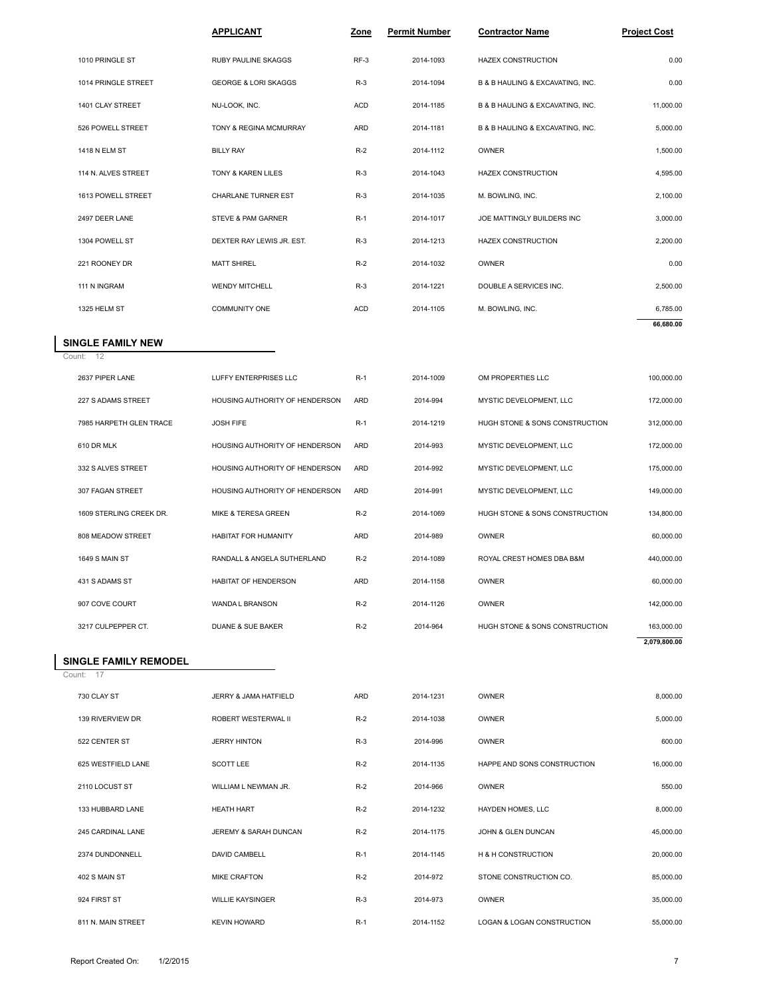|                        | <b>APPLICANT</b>                | Zone       | <b>Permit Number</b> | <b>Contractor Name</b>           | <b>Project Cost</b> |
|------------------------|---------------------------------|------------|----------------------|----------------------------------|---------------------|
|                        |                                 |            |                      |                                  |                     |
| 1010 PRINGLE ST        | RUBY PAULINE SKAGGS             | RF-3       | 2014-1093            | <b>HAZEX CONSTRUCTION</b>        | 0.00                |
| 1014 PRINGLE STREET    | <b>GEORGE &amp; LORI SKAGGS</b> | $R-3$      | 2014-1094            | B & B HAULING & EXCAVATING, INC. | 0.00                |
| 1401 CLAY STREET       | NU-LOOK, INC.                   | <b>ACD</b> | 2014-1185            | B & B HAULING & EXCAVATING, INC. | 11,000.00           |
| 526 POWELL STREET      | TONY & REGINA MCMURRAY          | <b>ARD</b> | 2014-1181            | B & B HAULING & EXCAVATING, INC. | 5,000.00            |
| 1418 N ELM ST          | <b>BILLY RAY</b>                | $R-2$      | 2014-1112            | OWNER                            | 1,500.00            |
| 114 N. ALVES STREET    | TONY & KAREN LILES              | $R-3$      | 2014-1043            | <b>HAZEX CONSTRUCTION</b>        | 4,595.00            |
| 1613 POWELL STREET     | CHARLANE TURNER EST             | $R-3$      | 2014-1035            | M. BOWLING, INC.                 | 2,100.00            |
| 2497 DEER LANE         | <b>STEVE &amp; PAM GARNER</b>   | $R-1$      | 2014-1017            | JOE MATTINGLY BUILDERS INC       | 3,000.00            |
| 1304 POWELL ST         | DEXTER RAY LEWIS JR. EST.       | $R-3$      | 2014-1213            | <b>HAZEX CONSTRUCTION</b>        | 2,200.00            |
| 221 ROONEY DR          | <b>MATT SHIREL</b>              | $R-2$      | 2014-1032            | OWNER                            | 0.00                |
| 111 N INGRAM           | <b>WENDY MITCHELL</b>           | $R-3$      | 2014-1221            | DOUBLE A SERVICES INC.           | 2,500.00            |
| 1325 HELM ST           | <b>COMMUNITY ONE</b>            | <b>ACD</b> | 2014-1105            | M. BOWLING, INC.                 | 6,785.00            |
|                        |                                 |            |                      |                                  | 66,680.00           |
| <b>NGLE FAMILY NEW</b> |                                 |            |                      |                                  |                     |
| unt: 12                |                                 |            |                      |                                  |                     |
| 2637 PIPER LANE        | LUFFY ENTERPRISES LLC           | $R-1$      | 2014-1009            | OM PROPERTIES LLC                | 100,000.00          |
| 227 S ADAMS STREET     | HOUSING AUTHORITY OF HENDERSON  | <b>ARD</b> | 2014-994             | MYSTIC DEVELOPMENT, LLC          | 172,000.00          |

### **SINGLE FAMILY NEW**<br>Count: 12

|                         |                                |       |           |                                | 66,680.00    |
|-------------------------|--------------------------------|-------|-----------|--------------------------------|--------------|
| SINGLE FAMILY NEW       |                                |       |           |                                |              |
| Count: $\overline{12}$  |                                |       |           |                                |              |
| 2637 PIPER LANE         | LUFFY ENTERPRISES LLC          | $R-1$ | 2014-1009 | OM PROPERTIES LLC              | 100,000.00   |
| 227 S ADAMS STREET      | HOUSING AUTHORITY OF HENDERSON | ARD   | 2014-994  | MYSTIC DEVELOPMENT, LLC        | 172,000.00   |
| 7985 HARPETH GLEN TRACE | <b>JOSH FIFE</b>               | $R-1$ | 2014-1219 | HUGH STONE & SONS CONSTRUCTION | 312,000.00   |
| 610 DR MLK              | HOUSING AUTHORITY OF HENDERSON | ARD   | 2014-993  | MYSTIC DEVELOPMENT, LLC        | 172,000.00   |
| 332 S ALVES STREET      | HOUSING AUTHORITY OF HENDERSON | ARD   | 2014-992  | MYSTIC DEVELOPMENT, LLC        | 175,000.00   |
| 307 FAGAN STREET        | HOUSING AUTHORITY OF HENDERSON | ARD   | 2014-991  | MYSTIC DEVELOPMENT, LLC        | 149,000.00   |
| 1609 STERLING CREEK DR. | <b>MIKE &amp; TERESA GREEN</b> | $R-2$ | 2014-1069 | HUGH STONE & SONS CONSTRUCTION | 134,800.00   |
| 808 MEADOW STREET       | HABITAT FOR HUMANITY           | ARD   | 2014-989  | <b>OWNER</b>                   | 60,000.00    |
| <b>1649 S MAIN ST</b>   | RANDALL & ANGELA SUTHERLAND    | $R-2$ | 2014-1089 | ROYAL CREST HOMES DBA B&M      | 440,000.00   |
| 431 S ADAMS ST          | <b>HABITAT OF HENDERSON</b>    | ARD   | 2014-1158 | <b>OWNER</b>                   | 60,000.00    |
| 907 COVE COURT          | WANDA L BRANSON                | $R-2$ | 2014-1126 | <b>OWNER</b>                   | 142,000.00   |
| 3217 CULPEPPER CT.      | DUANE & SUE BAKER              | $R-2$ | 2014-964  | HUGH STONE & SONS CONSTRUCTION | 163,000.00   |
|                         |                                |       |           |                                | 2,079,800.00 |
| SINGLE FAMILY REMODEL   |                                |       |           |                                |              |
| Count: 17               |                                |       |           |                                |              |
| 730 CLAY ST             | JERRY & JAMA HATFIELD          | ARD   | 2014-1231 | <b>OWNER</b>                   | 8,000.00     |
| 139 RIVERVIEW DR        | ROBERT WESTERWAL II            | $R-2$ | 2014-1038 | <b>OWNER</b>                   | 5,000.00     |

## **SINGLE FAMILY REMODEL**<br>Count: 17

| 3217 CULPEPPER CT.    | <b>DUANE &amp; SUE BAKER</b> | $R-2$      | 2014-964  | HUGH STONE & SONS CONSTRUCTION | 163,000.00   |  |
|-----------------------|------------------------------|------------|-----------|--------------------------------|--------------|--|
|                       |                              |            |           |                                | 2,079,800.00 |  |
| SINGLE FAMILY REMODEL |                              |            |           |                                |              |  |
| Count: 17             |                              |            |           |                                |              |  |
| 730 CLAY ST           | JERRY & JAMA HATFIELD        | <b>ARD</b> | 2014-1231 | <b>OWNER</b>                   | 8,000.00     |  |
| 139 RIVERVIEW DR      | ROBERT WESTERWAL II          | $R-2$      | 2014-1038 | <b>OWNER</b>                   | 5,000.00     |  |
| 522 CENTER ST         | <b>JERRY HINTON</b>          | $R-3$      | 2014-996  | <b>OWNER</b>                   | 600.00       |  |
| 625 WESTFIELD LANE    | <b>SCOTT LEE</b>             | $R-2$      | 2014-1135 | HAPPE AND SONS CONSTRUCTION    | 16,000.00    |  |
| 2110 LOCUST ST        | WILLIAM L NEWMAN JR.         | $R-2$      | 2014-966  | OWNER                          | 550.00       |  |
| 133 HUBBARD LANE      | <b>HEATH HART</b>            | $R-2$      | 2014-1232 | HAYDEN HOMES, LLC              | 8,000.00     |  |
| 245 CARDINAL LANE     | JEREMY & SARAH DUNCAN        | $R-2$      | 2014-1175 | JOHN & GLEN DUNCAN             | 45,000.00    |  |
| 2374 DUNDONNELL       | <b>DAVID CAMBELL</b>         | $R-1$      | 2014-1145 | <b>H &amp; H CONSTRUCTION</b>  | 20,000.00    |  |
| 402 S MAIN ST         | <b>MIKE CRAFTON</b>          | $R-2$      | 2014-972  | STONE CONSTRUCTION CO.         | 85,000.00    |  |
| 924 FIRST ST          | <b>WILLIE KAYSINGER</b>      | $R-3$      | 2014-973  | OWNER                          | 35,000.00    |  |
| 811 N. MAIN STREET    | <b>KEVIN HOWARD</b>          | $R-1$      | 2014-1152 | LOGAN & LOGAN CONSTRUCTION     | 55,000.00    |  |
|                       |                              |            |           |                                |              |  |